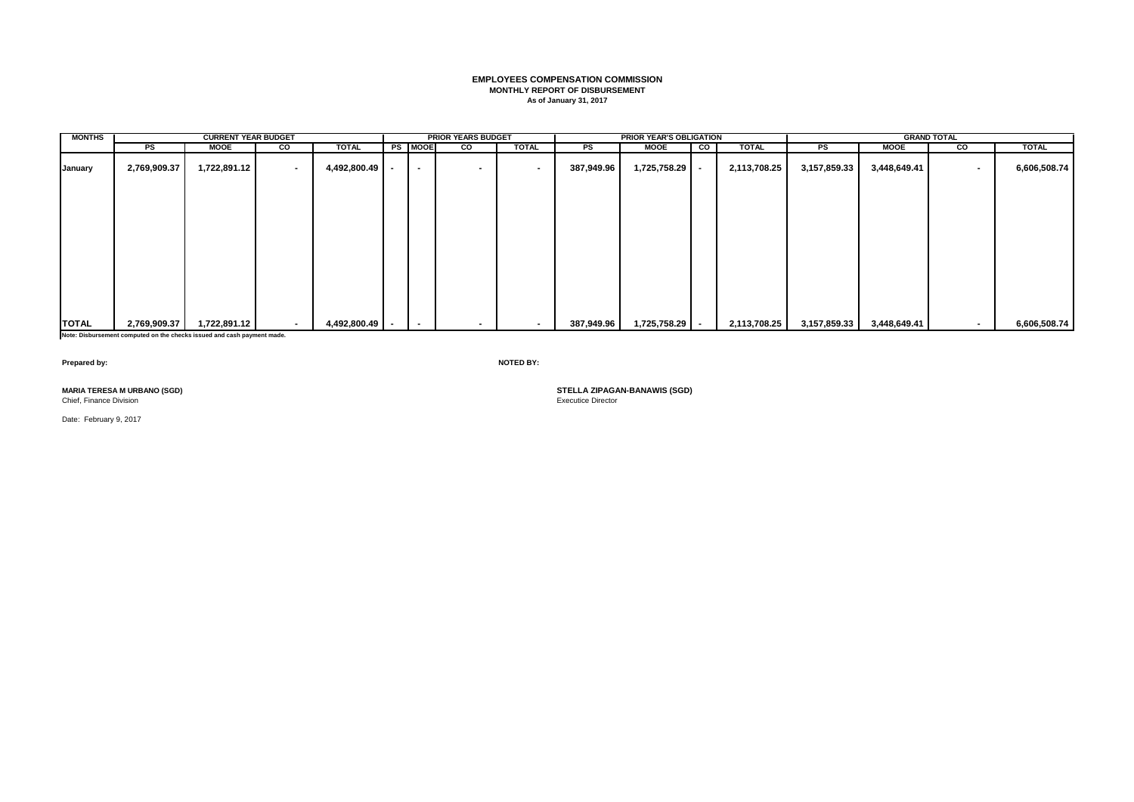# **EMPLOYEES COMPENSATION COMMISSION MONTHLY REPORT OF DISBURSEMENT As of January 31, 2017**

| <b>MONTHS</b>     |              | <b>CURRENT YEAR BUDGET</b> |                          |              |                          | <b>PRIOR YEARS BUDGET</b> |                          |            | <b>PRIOR YEAR'S OBLIGATION</b> |                          |              |              |              | <b>GRAND TOTAL</b> |              |
|-------------------|--------------|----------------------------|--------------------------|--------------|--------------------------|---------------------------|--------------------------|------------|--------------------------------|--------------------------|--------------|--------------|--------------|--------------------|--------------|
|                   | PS           | <b>MOOE</b>                | g                        | <b>TOTAL</b> | <b>PS MOOE</b>           | $\overline{\mathbf{c}}$   | <b>TOTAL</b>             | PS         | <b>MOOE</b>                    | $\overline{\phantom{a}}$ | <b>TOTAL</b> | PS           | <b>MOOE</b>  | g                  | <b>TOTAL</b> |
| January           | 2,769,909.37 | 1,722,891.12               | . .                      | 4,492,800.49 | $\overline{\phantom{a}}$ | $\,$ $\,$                 | $\overline{\phantom{a}}$ | 387,949.96 | 1,725,758.29                   | $\overline{\phantom{a}}$ | 2,113,708.25 | 3,157,859.33 | 3,448,649.41 | $\blacksquare$     | 6,606,508.74 |
|                   |              |                            |                          |              |                          |                           |                          |            |                                |                          |              |              |              |                    |              |
|                   |              |                            |                          |              |                          |                           |                          |            |                                |                          |              |              |              |                    |              |
|                   |              |                            |                          |              |                          |                           |                          |            |                                |                          |              |              |              |                    |              |
|                   |              |                            |                          |              |                          |                           |                          |            |                                |                          |              |              |              |                    |              |
|                   |              |                            |                          |              |                          |                           |                          |            |                                |                          |              |              |              |                    |              |
|                   |              |                            |                          |              |                          |                           |                          |            |                                |                          |              |              |              |                    |              |
| <b>TOTAL</b><br>. | 2,769,909.37 | 1,722,891.12               | $\overline{\phantom{a}}$ | 4,492,800.49 | $\overline{\phantom{a}}$ |                           | $\sim$                   | 387,949.96 | 1,725,758.29                   | . .                      | 2,113,708.25 | 3,157,859.33 | 3,448,649.41 |                    | 6,606,508.74 |

**Note: Disbursement computed on the checks issued and cash payment made.**

**Prepared by: NOTED BY:**

Chief, Finance Division

Date: February 9, 2017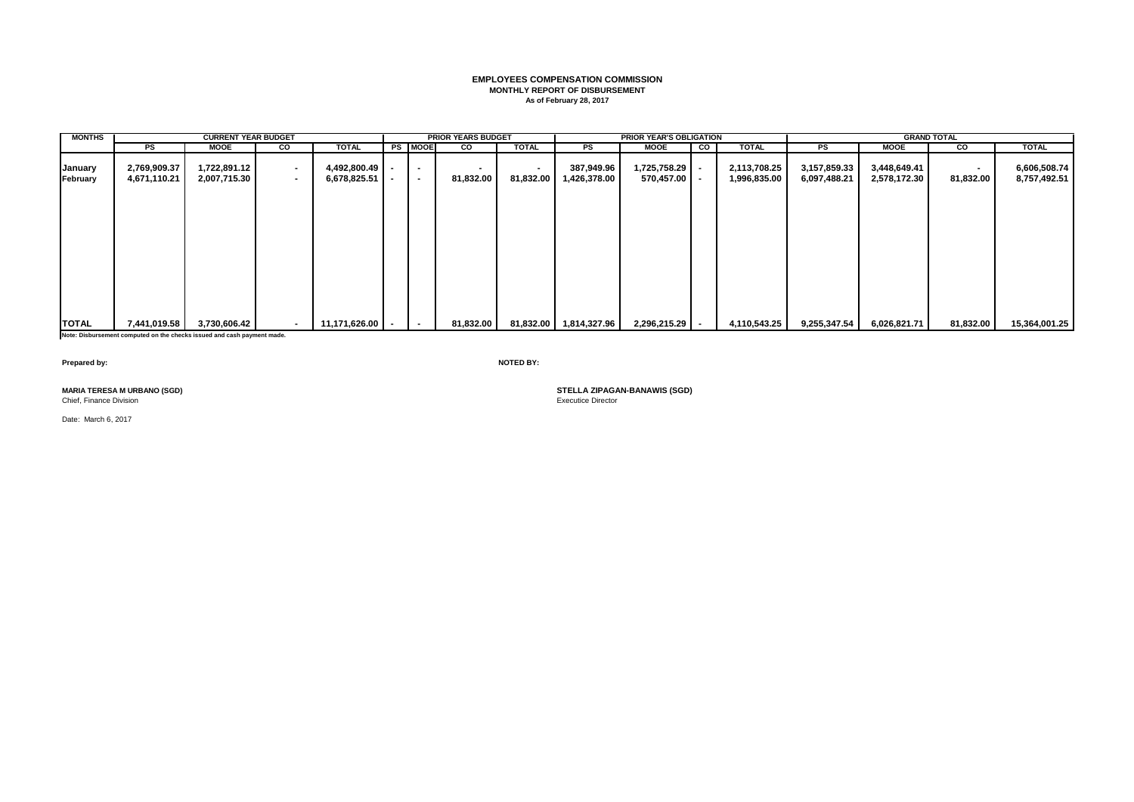## **EMPLOYEES COMPENSATION COMMISSION MONTHLY REPORT OF DISBURSEMENT As of February 28, 2017**

| <b>MONTHS</b>       |                              | <b>CURRENT YEAR BUDGET</b>   |                          |                                |                                    | <b>PRIOR YEARS BUDGET</b> |                             |                            | <b>PRIOR YEAR'S OBLIGATION</b> |    |                              |                              |                              | <b>GRAND TOTAL</b>          |                              |
|---------------------|------------------------------|------------------------------|--------------------------|--------------------------------|------------------------------------|---------------------------|-----------------------------|----------------------------|--------------------------------|----|------------------------------|------------------------------|------------------------------|-----------------------------|------------------------------|
|                     | PS                           | <b>MOOE</b>                  | <b>CO</b>                | TOTAL                          | <b>PS MOOE</b>                     | CO                        | <b>TOTAL</b>                | PS                         | <b>MOOE</b>                    | CO | <b>TOTAL</b>                 | $_{\rm PS}$                  | <b>MOOE</b>                  | CO                          | <b>TOTAL</b>                 |
| January<br>February | 2,769,909.37<br>4,671,110.21 | 1,722,891.12<br>2,007,715.30 | $\blacksquare$<br>$\sim$ | 4,492,800.49 -<br>6,678,825.51 | $\overline{\phantom{a}}$<br>$\sim$ | 81,832.00                 | $\blacksquare$<br>81,832.00 | 387,949.96<br>1,426,378.00 | 1,725,758.29<br>570,457.00     |    | 2,113,708.25<br>1,996,835.00 | 3,157,859.33<br>6,097,488.21 | 3,448,649.41<br>2,578,172.30 | $\blacksquare$<br>81,832.00 | 6,606,508.74<br>8,757,492.51 |
|                     |                              |                              |                          |                                |                                    |                           |                             |                            |                                |    |                              |                              |                              |                             |                              |
|                     |                              |                              |                          |                                |                                    |                           |                             |                            |                                |    |                              |                              |                              |                             |                              |
|                     |                              |                              |                          |                                |                                    |                           |                             |                            |                                |    |                              |                              |                              |                             |                              |
| <b>TOTAL</b>        | 7,441,019.58                 | 3,730,606.42                 | $\overline{\phantom{a}}$ | 11,171,626.00   .              |                                    | 81,832.00                 |                             | 81,832.00 1,814,327.96     | 2,296,215.29                   |    | 4,110,543.25                 | 9,255,347.54                 | 6,026,821.71                 | 81,832.00                   | 15,364,001.25                |

**Note: Disbursement computed on the checks issued and cash payment made.**

**Prepared by: NOTED BY:**

Chief, Finance Division

Date: March 6, 2017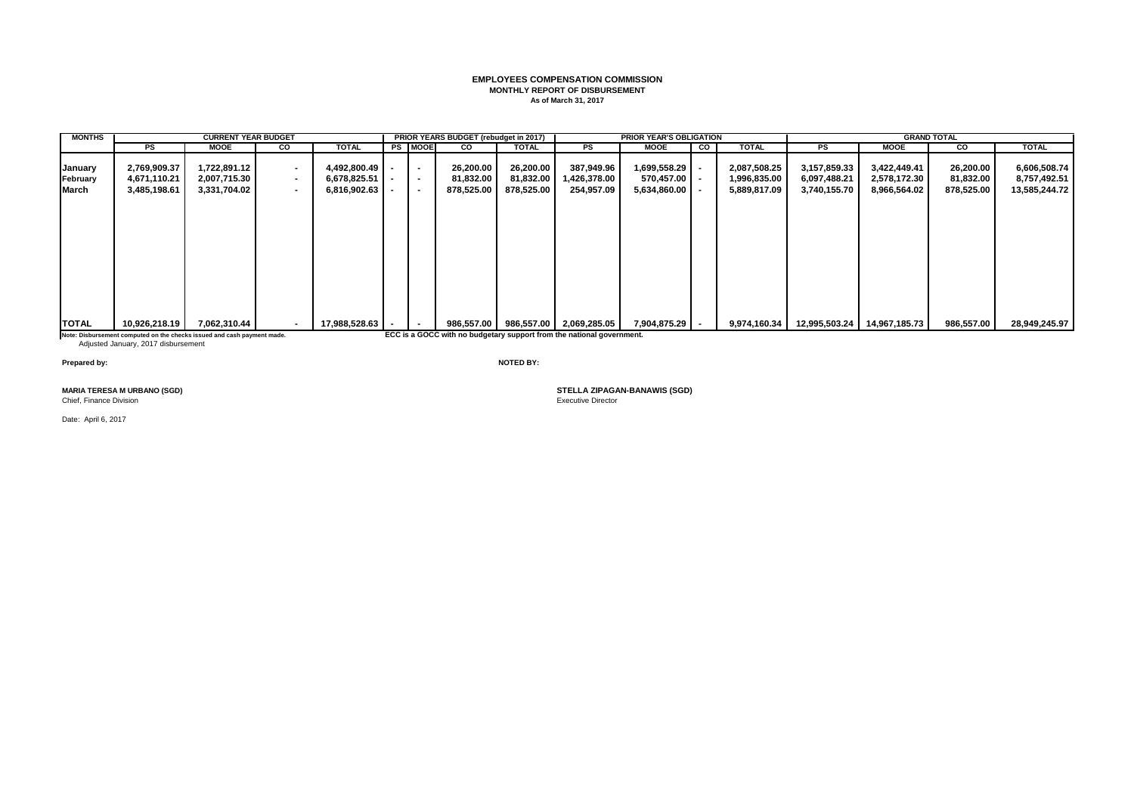## **EMPLOYEES COMPENSATION COMMISSION MONTHLY REPORT OF DISBURSEMENT As of March 31, 2017**

| <b>MONTHS</b>                |                                                                         | <b>CURRENT YEAR BUDGET</b>                   |                            |                                                  |                                    | PRIOR YEARS BUDGET (rebudget in 2017) |                                      |                                                                       | <b>PRIOR YEAR'S OBLIGATION</b>                 |    |                                              |                                              |                                              | <b>GRAND TOTAL</b>                   |                                               |
|------------------------------|-------------------------------------------------------------------------|----------------------------------------------|----------------------------|--------------------------------------------------|------------------------------------|---------------------------------------|--------------------------------------|-----------------------------------------------------------------------|------------------------------------------------|----|----------------------------------------------|----------------------------------------------|----------------------------------------------|--------------------------------------|-----------------------------------------------|
|                              | PS                                                                      | <b>MOOE</b>                                  | <b>CO</b>                  | <b>TOTAL</b>                                     | <b>PS MOOE</b>                     | <b>CO</b>                             | <b>TOTAL</b>                         | PS                                                                    | <b>MOOE</b>                                    | CO | <b>TOTAL</b>                                 | PS                                           | <b>MOOE</b>                                  | CO                                   | <b>TOTAL</b>                                  |
| January<br>February<br>March | 2,769,909.37<br>4,671,110.21<br>3,485,198.61                            | 1,722,891.12<br>2,007,715.30<br>3,331,704.02 | $\sim$<br>$\sim$<br>$\sim$ | 4,492,800.49<br>$6,678,825.51$ -<br>6,816,902.63 | $\blacksquare$<br>$\sim$<br>$\sim$ | 26,200.00<br>81,832.00<br>878,525.00  | 26,200.00<br>81,832.00<br>878,525.00 | 387,949.96<br>1,426,378.00<br>254,957.09                              | 1,699,558.29<br>570,457.00<br>$5,634,860.00$ - |    | 2,087,508.25<br>1,996,835.00<br>5,889,817.09 | 3,157,859.33<br>6,097,488.21<br>3,740,155.70 | 3,422,449.41<br>2,578,172.30<br>8,966,564.02 | 26,200.00<br>81,832.00<br>878,525.00 | 6,606,508.74<br>8,757,492.51<br>13,585,244.72 |
| <b>TOTAL</b>                 | 10,926,218.19                                                           | 7,062,310.44                                 | . .                        | 17,988,528.63                                    | $\overline{\phantom{a}}$           | 986,557.00                            |                                      | 986,557.00 2,069,285.05                                               | 7,904,875.29                                   |    | 9,974,160.34                                 | 12,995,503.24                                | 14,967,185.73                                | 986,557.00                           | 28,949,245.97                                 |
|                              | Note: Disbursement computed on the checks issued and cash payment made. |                                              |                            |                                                  |                                    |                                       |                                      | ECC is a GOCC with no budgetary support from the national government. |                                                |    |                                              |                                              |                                              |                                      |                                               |

Note: Disbursement computed on the checks issued and cash payment made.<br>Adjusted January, 2017 disbursement

**Prepared by: NOTED BY:**

Chief, Finance Division

Date: April 6, 2017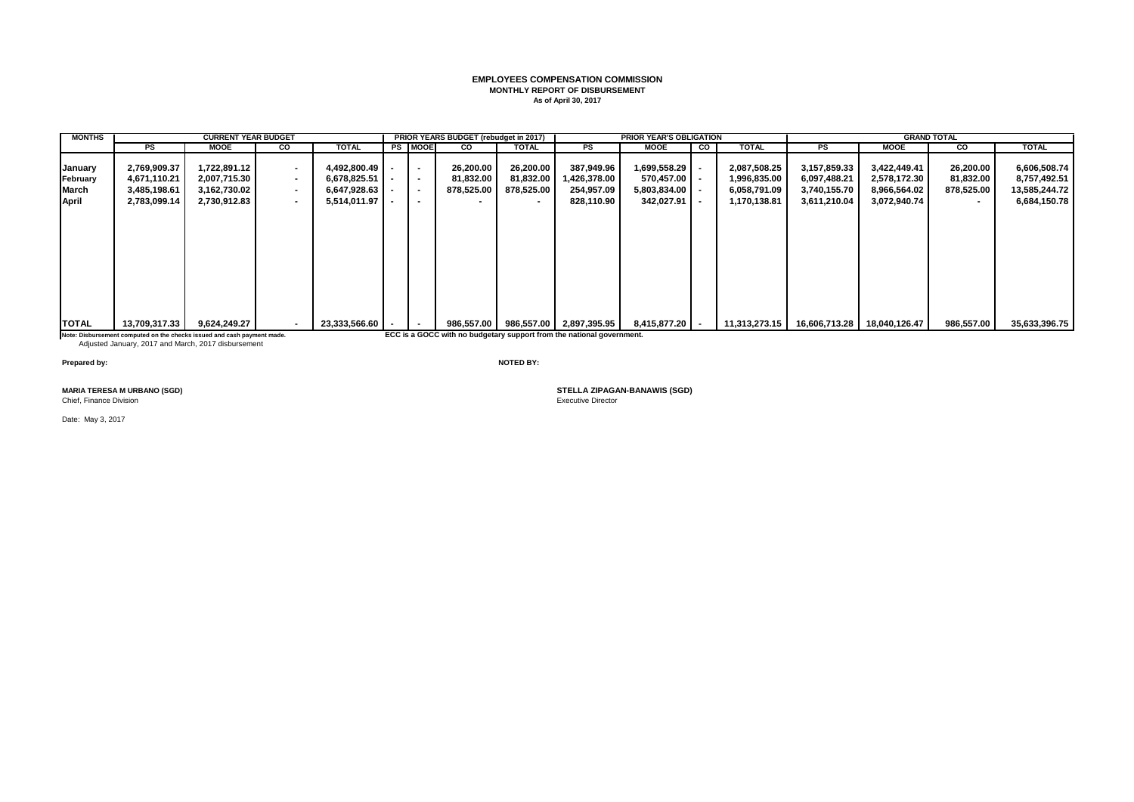## **EMPLOYEES COMPENSATION COMMISSION MONTHLY REPORT OF DISBURSEMENT As of April 30, 2017**

| <b>MONTHS</b> |                                                                         | <b>CURRENT YEAR BUDGET</b> |           |                  |                          | PRIOR YEARS BUDGET (rebudget in 2017) |            |                                                                       | <b>PRIOR YEAR'S OBLIGATION</b> |    |               |               |               | <b>GRAND TOTAL</b> |               |
|---------------|-------------------------------------------------------------------------|----------------------------|-----------|------------------|--------------------------|---------------------------------------|------------|-----------------------------------------------------------------------|--------------------------------|----|---------------|---------------|---------------|--------------------|---------------|
|               | PS                                                                      | <b>MOOE</b>                | <b>CO</b> | <b>TOTAL</b>     | <b>PS MOOE</b>           | <b>CO</b>                             | TOTAL      | PS                                                                    | <b>MOOE</b>                    | CO | <b>TOTAL</b>  | <b>PS</b>     | <b>MOOE</b>   | CO                 | <b>TOTAL</b>  |
| January       | 2,769,909.37                                                            | 1,722,891.12               | $\sim$    | 4,492,800.49     | $\sim$                   | 26,200.00                             | 26,200.00  | 387,949.96                                                            | 1,699,558.29                   |    | 2,087,508.25  | 3,157,859.33  | 3,422,449.41  | 26,200.00          | 6,606,508.74  |
| February      | 4,671,110.21                                                            | 2,007,715.30               | $\sim$    | $6,678,825.51$ - | $\overline{\phantom{a}}$ | 81,832.00                             | 81,832.00  | 1,426,378.00                                                          | 570,457.00                     |    | 1,996,835.00  | 6,097,488.21  | 2,578,172.30  | 81,832.00          | 8,757,492.51  |
| March         | 3,485,198.61                                                            | 3,162,730.02               | $\sim$    | $6,647,928.63$ - | $\overline{\phantom{a}}$ | 878,525.00                            | 878,525.00 | 254,957.09                                                            | $5,803,834.00$ -               |    | 6,058,791.09  | 3,740,155.70  | 8,966,564.02  | 878,525.00         | 13,585,244.72 |
| April         | 2,783,099.14                                                            | 2,730,912.83               | . .       | $5,514,011.97$ - | $\overline{\phantom{a}}$ |                                       |            | 828,110.90                                                            | $342,027.91$ $-$               |    | 1,170,138.81  | 3,611,210.04  | 3,072,940.74  | $\blacksquare$     | 6,684,150.78  |
|               |                                                                         |                            |           |                  |                          |                                       |            |                                                                       |                                |    |               |               |               |                    |               |
| <b>TOTAL</b>  | 13,709,317.33                                                           | 9,624,249.27               |           | 23,333,566.60    | $\overline{\phantom{a}}$ | 986,557.00                            |            | 986,557.00 2,897,395.95                                               | 8,415,877.20 -                 |    | 11,313,273.15 | 16,606,713.28 | 18,040,126.47 | 986,557.00         | 35,633,396.75 |
|               | Note: Disbursement computed on the checks issued and cash payment made. |                            |           |                  |                          |                                       |            | ECC is a GOCC with no budgetary support from the national government. |                                |    |               |               |               |                    |               |

Note: Disbursement computed on the checks issued and cash payment made.<br>Adjusted January, 2017 and March, 2017 disbursement

**Prepared by: NOTED BY:**

Chief, Finance Division

Date: May 3, 2017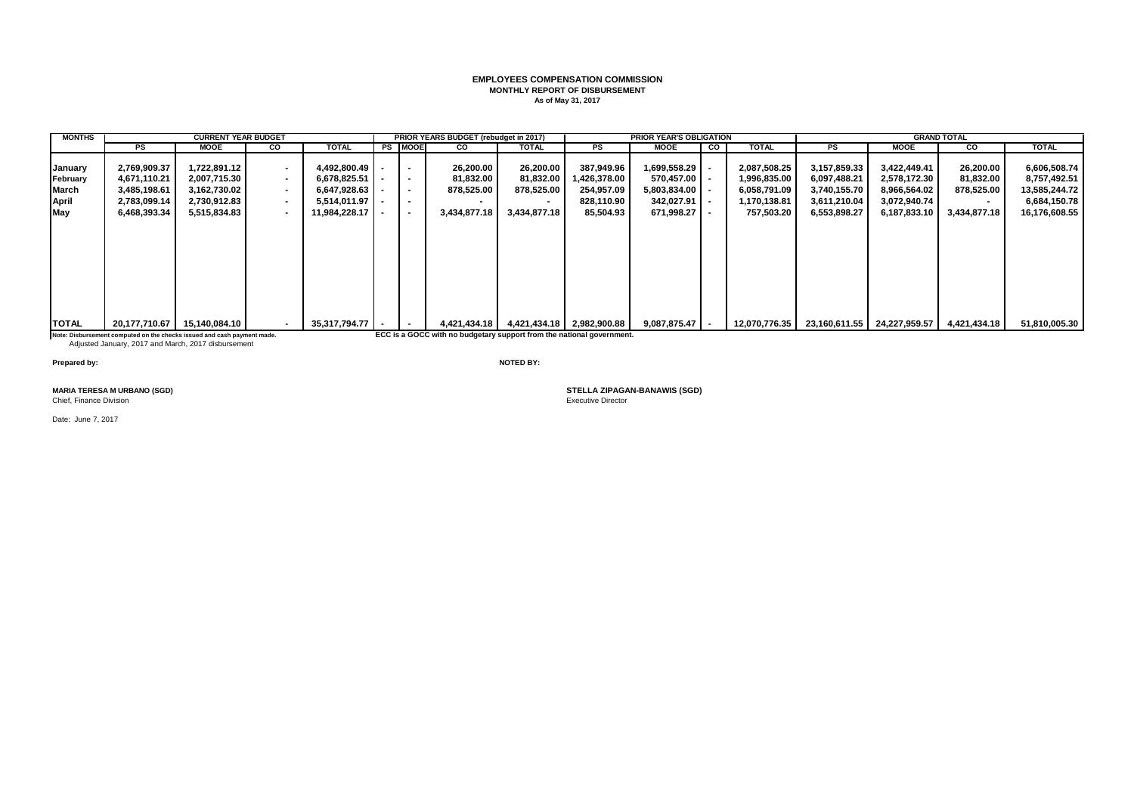## **EMPLOYEES COMPENSATION COMMISSION MONTHLY REPORT OF DISBURSEMENT As of May 31, 2017**

| <b>MONTHS</b> |                                                                         | <b>CURRENT YEAR BUDGET</b> |                          |               |           |                          | PRIOR YEARS BUDGET (rebudget in 2017)                                 |              |                           | <b>PRIOR YEAR'S OBLIGATION</b> |    |               |              |                                          | <b>GRAND TOTAL</b> |               |
|---------------|-------------------------------------------------------------------------|----------------------------|--------------------------|---------------|-----------|--------------------------|-----------------------------------------------------------------------|--------------|---------------------------|--------------------------------|----|---------------|--------------|------------------------------------------|--------------------|---------------|
|               | PS                                                                      | MOOE                       | <b>CO</b>                | TOTAL         | <b>PS</b> | <b>IMOOE</b>             | <b>CO</b>                                                             | <b>TOTAL</b> | PS                        | MOOE                           | CO | <b>TOTAL</b>  | PS           | <b>MOOE</b>                              | <b>CO</b>          | <b>TOTAL</b>  |
| January       | 2,769,909.37                                                            | ,722,891.12                | $\sim$                   | 4,492,800.49  |           | $\sim$                   | 26,200.00                                                             | 26,200.00    | 387,949.96                | 1,699,558.29                   |    | 2,087,508.25  | 3,157,859.33 | 3,422,449.41                             | 26,200.00          | 6,606,508.74  |
| February      | 4,671,110.21                                                            | 2,007,715.30               | $\sim$                   | 6,678,825.51  |           | $\sim$                   | 81,832.00                                                             | 81,832.00    | ,426,378.00               | 570,457.00                     |    | 1,996,835.00  | 6,097,488.21 | 2,578,172.30                             | 81,832.00          | 8,757,492.51  |
| March         | 3,485,198.61                                                            | 3,162,730.02               | $\overline{\phantom{a}}$ | 6,647,928.63  |           | $\sim$                   | 878,525.00                                                            | 878,525.00   | 254,957.09                | 5,803,834.00                   |    | 6,058,791.09  | 3,740,155.70 | 8,966,564.02                             | 878,525.00         | 13,585,244.72 |
| April         | 2,783,099.14                                                            | 2,730,912.83               | $\overline{\phantom{a}}$ | 5,514,011.97  |           | $\overline{\phantom{a}}$ |                                                                       | $\sim$       | 828,110.90                | 342,027.91                     |    | 1,170,138.81  | 3,611,210.04 | 3,072,940.74                             |                    | 6,684,150.78  |
| May           | 6,468,393.34                                                            | 5,515,834.83               | $\overline{\phantom{a}}$ | 11.984.228.17 |           | $\sim$                   | 3,434,877.18                                                          | 3,434,877.18 | 85,504.93                 | 671,998.27                     |    | 757,503.20    | 6,553,898.27 | 6,187,833.10                             | 3,434,877.18       | 16,176,608.55 |
|               |                                                                         |                            |                          |               |           |                          |                                                                       |              |                           |                                |    |               |              |                                          |                    |               |
| <b>TOTAL</b>  | 20,177,710.67                                                           | 15,140,084.10              | $\sim$                   | 35,317,794.77 |           | $\sim$                   | 4,421,434.18                                                          |              | 4,421,434.18 2,982,900.88 | 9,087,875.47                   |    | 12,070,776.35 |              | 23,160,611.55 24,227,959.57 4,421,434.18 |                    | 51,810,005.30 |
|               | Note: Disbursement computed on the checks issued and cash payment made. |                            |                          |               |           |                          | ECC is a GOCC with no budgetary support from the national government. |              |                           |                                |    |               |              |                                          |                    |               |

Note: Disbursement computed on the checks issued and cash payment made.<br>Adjusted January, 2017 and March, 2017 disbursement

**Prepared by: NOTED BY:**

Chief, Finance Division

Date: June 7, 2017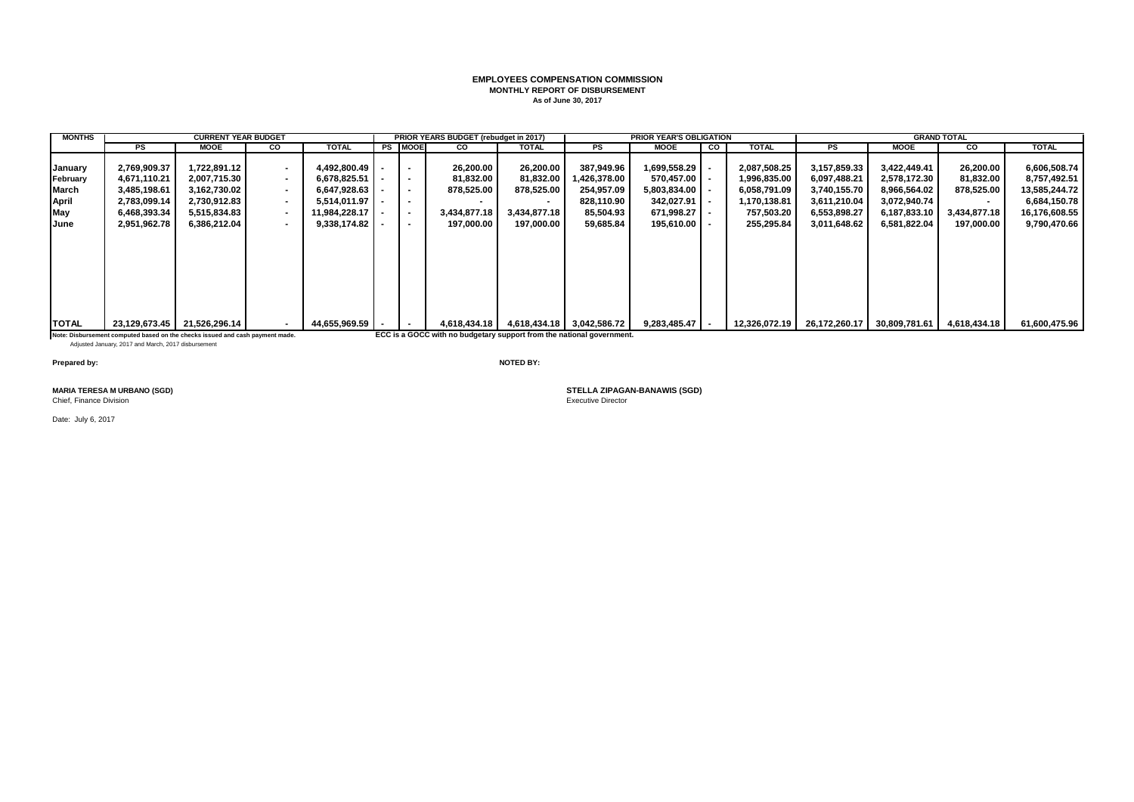#### **EMPLOYEES COMPENSATION COMMISSION MONTHLY REPORT OF DISBURSEMENT As of June 30, 2017**

| <b>MONTHS</b> |                                                                               | <b>CURRENT YEAR BUDGET</b>  |                |               |        |                          | PRIOR YEARS BUDGET (rebudget in 2017)                                 |              |                           | <b>PRIOR YEAR'S OBLIGATION</b> |    |               |               |               | <b>GRAND TOTAL</b> |               |
|---------------|-------------------------------------------------------------------------------|-----------------------------|----------------|---------------|--------|--------------------------|-----------------------------------------------------------------------|--------------|---------------------------|--------------------------------|----|---------------|---------------|---------------|--------------------|---------------|
|               | PS                                                                            | MOOE                        | CO             | <b>TOTAL</b>  |        | <b>PS MOOE</b>           | CO                                                                    | TOTAL        | PS                        | MOOE                           | CO | <b>TOTAL</b>  | PS.           | <b>MOOE</b>   | <b>CO</b>          | <b>TOTAL</b>  |
|               |                                                                               |                             |                |               |        |                          |                                                                       |              |                           |                                |    |               |               |               |                    |               |
| January       | 2,769,909.37                                                                  | 1,722,891.12                | $\sim$         | 4,492,800.49  | $\sim$ | $\sim$                   | 26,200.00                                                             | 26,200.00    | 387,949.96                | 1,699,558.29                   |    | 2,087,508.25  | 3,157,859.33  | 3,422,449.41  | 26,200.00          | 6,606,508.74  |
| February      | 4,671,110.21                                                                  | 2.007.715.30                | $\sim$         | 6.678.825.51  | $\sim$ | $\sim$                   | 81,832.00                                                             | 81,832.00    | 1,426,378.00              | 570,457.00                     |    | 1,996,835.00  | 6,097,488.21  | 2,578,172.30  | 81,832.00          | 8,757,492.51  |
| March         | 3,485,198.61                                                                  | 3,162,730.02                | $\sim$         | 6,647,928.63  |        | $\blacksquare$           | 878,525.00                                                            | 878,525.00   | 254,957.09                | 5,803,834.00                   |    | 6,058,791.09  | 3,740,155.70  | 8,966,564.02  | 878,525.00         | 13,585,244.72 |
| April         | 2,783,099.14                                                                  | 2,730,912.83                | $\sim$         | 5.514.011.97  | $\sim$ | $\overline{\phantom{a}}$ |                                                                       | $\sim$       | 828,110.90                | 342,027.91                     |    | 1,170,138.81  | 3,611,210.04  | 3,072,940.74  |                    | 6,684,150.78  |
| May           | 6,468,393.34                                                                  | 5,515,834.83                | $\sim$         | 11,984,228.17 |        | $\blacksquare$           | 3,434,877.18                                                          | 3,434,877.18 | 85,504.93                 | 671,998.27                     |    | 757,503.20    | 6,553,898.27  | 6,187,833.10  | 3,434,877.18       | 16,176,608.55 |
| <b>IJune</b>  | 2,951,962.78                                                                  | 6.386.212.04                | $\blacksquare$ | 9,338,174.82  |        | $\sim$                   | 197.000.00                                                            | 197.000.00   | 59,685.84                 | 195.610.00                     |    | 255,295.84    | 3,011,648.62  | 6,581,822.04  | 197,000.00         | 9,790,470.66  |
|               |                                                                               |                             |                |               |        |                          |                                                                       |              |                           |                                |    |               |               |               |                    |               |
|               |                                                                               |                             |                |               |        |                          |                                                                       |              |                           |                                |    |               |               |               |                    |               |
|               |                                                                               |                             |                |               |        |                          |                                                                       |              |                           |                                |    |               |               |               |                    |               |
|               |                                                                               |                             |                |               |        |                          |                                                                       |              |                           |                                |    |               |               |               |                    |               |
|               |                                                                               |                             |                |               |        |                          |                                                                       |              |                           |                                |    |               |               |               |                    |               |
|               |                                                                               |                             |                |               |        |                          |                                                                       |              |                           |                                |    |               |               |               |                    |               |
|               |                                                                               |                             |                |               |        |                          |                                                                       |              |                           |                                |    |               |               |               |                    |               |
|               |                                                                               |                             |                |               |        |                          |                                                                       |              |                           |                                |    |               |               |               |                    |               |
| <b>ITOTAL</b> |                                                                               | 23,129,673.45 21,526,296.14 |                | 44.655.969.59 | $\sim$ | $\blacksquare$           | 4.618.434.18                                                          |              | 4,618,434.18 3,042,586.72 | 9,283,485.47                   |    | 12,326,072.19 | 26,172,260.17 | 30,809,781.61 | 4,618,434.18       | 61,600,475.96 |
|               |                                                                               |                             |                |               |        |                          |                                                                       |              |                           |                                |    |               |               |               |                    |               |
|               | Note: Disbursement computed based on the checks issued and cash payment made. |                             |                |               |        |                          | ECC is a GOCC with no budgetary support from the national government. |              |                           |                                |    |               |               |               |                    |               |

e: Disbursement computed based on the checks issued and cash payment made.<br>Adjusted January, 2017 and March, 2017 disbursement

**Prepared by: NOTED BY:**

Chief, Finance Division

Date: July 6, 2017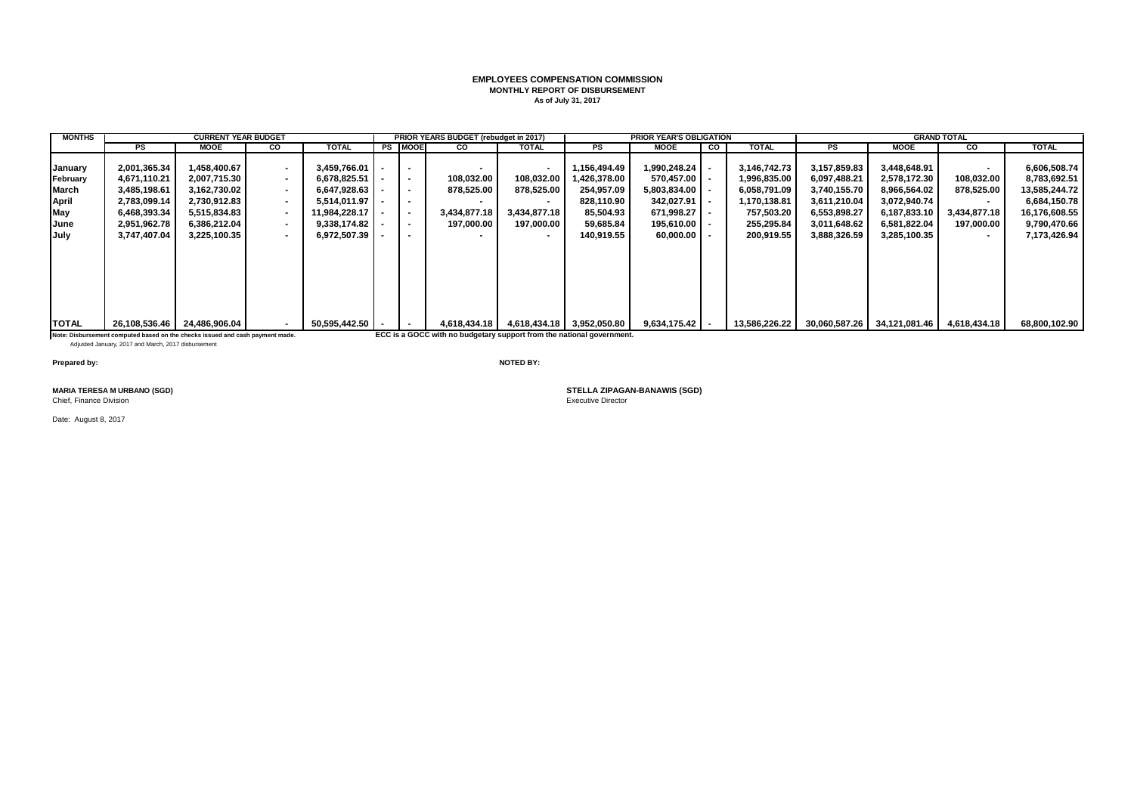## **EMPLOYEES COMPENSATION COMMISSION MONTHLY REPORT OF DISBURSEMENT As of July 31, 2017**

| <b>MONTHS</b>                                                       |                                                                                                                                      | <b>CURRENT YEAR BUDGET</b>                                                                                   |                                                                                                                                                                                        |                                                                                                               |                                                                                                                        | <b>PRIOR YEARS BUDGET (rebudget in 2017)</b>                                          |                                                                                                      |                                                                                                 | <b>PRIOR YEAR'S OBLIGATION</b>                                                                    |           |                                                                                                        |                                                                                                              |                                                                                                              | <b>GRAND TOTAL</b>                                     |                                                                                                                |
|---------------------------------------------------------------------|--------------------------------------------------------------------------------------------------------------------------------------|--------------------------------------------------------------------------------------------------------------|----------------------------------------------------------------------------------------------------------------------------------------------------------------------------------------|---------------------------------------------------------------------------------------------------------------|------------------------------------------------------------------------------------------------------------------------|---------------------------------------------------------------------------------------|------------------------------------------------------------------------------------------------------|-------------------------------------------------------------------------------------------------|---------------------------------------------------------------------------------------------------|-----------|--------------------------------------------------------------------------------------------------------|--------------------------------------------------------------------------------------------------------------|--------------------------------------------------------------------------------------------------------------|--------------------------------------------------------|----------------------------------------------------------------------------------------------------------------|
|                                                                     | <b>PS</b>                                                                                                                            | <b>MOOE</b>                                                                                                  | CO                                                                                                                                                                                     | <b>TOTAL</b>                                                                                                  | <b>PS MOOE</b>                                                                                                         | <b>CO</b>                                                                             | <b>TOTAL</b>                                                                                         | PS.                                                                                             | MOOE                                                                                              | <b>CO</b> | <b>TOTAL</b>                                                                                           | <b>PS</b>                                                                                                    | <b>MOOE</b>                                                                                                  | <b>CO</b>                                              | <b>TOTAL</b>                                                                                                   |
| January<br>February<br><b>March</b><br>April<br>May<br>June<br>July | 2,001,365.34<br>4,671,110.21<br>3,485,198.61<br>2,783,099.14<br>6,468,393.34<br>2,951,962.78<br>3,747,407.04                         | 1,458,400.67<br>2,007,715.30<br>3,162,730.02<br>2.730.912.83<br>5,515,834.83<br>6,386,212.04<br>3,225,100.35 | $\overline{\phantom{a}}$<br>$\overline{\phantom{a}}$<br>$\overline{\phantom{a}}$<br>$\blacksquare$<br>$\overline{\phantom{a}}$<br>$\overline{\phantom{a}}$<br>$\overline{\phantom{a}}$ | 3,459,766.01<br>6.678.825.51<br>6,647,928.63<br>5.514.011.97<br>11,984,228.17<br>9,338,174.82<br>6,972,507.39 | $\blacksquare$<br>$\sim$<br>$\blacksquare$<br>$\overline{\phantom{a}}$<br>$\sim$<br>$\sim$<br>$\overline{\phantom{a}}$ | 108,032.00<br>878,525.00<br>3,434,877.18<br>197,000.00                                | 108,032.00<br>878,525.00<br>$\overline{\phantom{a}}$<br>3,434,877.18<br>197,000.00<br>$\blacksquare$ | 1,156,494.49<br>.426.378.00<br>254,957.09<br>828.110.90<br>85,504.93<br>59,685.84<br>140,919.55 | 1,990,248.24<br>570.457.00<br>5,803,834.00<br>342,027.91<br>671,998.27<br>195,610.00<br>60,000.00 |           | 3,146,742.73<br>1,996,835.00<br>6,058,791.09<br>1,170,138.81<br>757,503.20<br>255,295.84<br>200,919.55 | 3,157,859.83<br>6,097,488.21<br>3,740,155.70<br>3,611,210.04<br>6,553,898.27<br>3,011,648.62<br>3,888,326.59 | 3,448,648.91<br>2,578,172.30<br>8,966,564.02<br>3,072,940.74<br>6,187,833.10<br>6,581,822.04<br>3,285,100.35 | 108.032.00<br>878,525.00<br>3,434,877.18<br>197,000.00 | 6,606,508.74<br>8,783,692.51<br>13,585,244.72<br>6,684,150.78<br>16,176,608.55<br>9,790,470.66<br>7,173,426.94 |
| <b>TOTAL</b>                                                        | Note: Disbursement computed based on the checks issued and cash payment made.<br>Adjusted January, 2017 and March, 2017 disbursement | 26.108.536.46 24.486.906.04                                                                                  | $\overline{\phantom{a}}$                                                                                                                                                               | 50.595.442.50                                                                                                 | $\sim$                                                                                                                 | 4.618.434.18<br>ECC is a GOCC with no budgetary support from the national government. |                                                                                                      | 4,618,434.18 3,952,050.80                                                                       | 9,634,175.42                                                                                      |           | 13,586,226.22                                                                                          |                                                                                                              | 30,060,587.26 34,121,081.46                                                                                  | 4,618,434.18                                           | 68.800.102.90                                                                                                  |

**Prepared by: NOTED BY:**

Chief, Finance Division

Date: August 8, 2017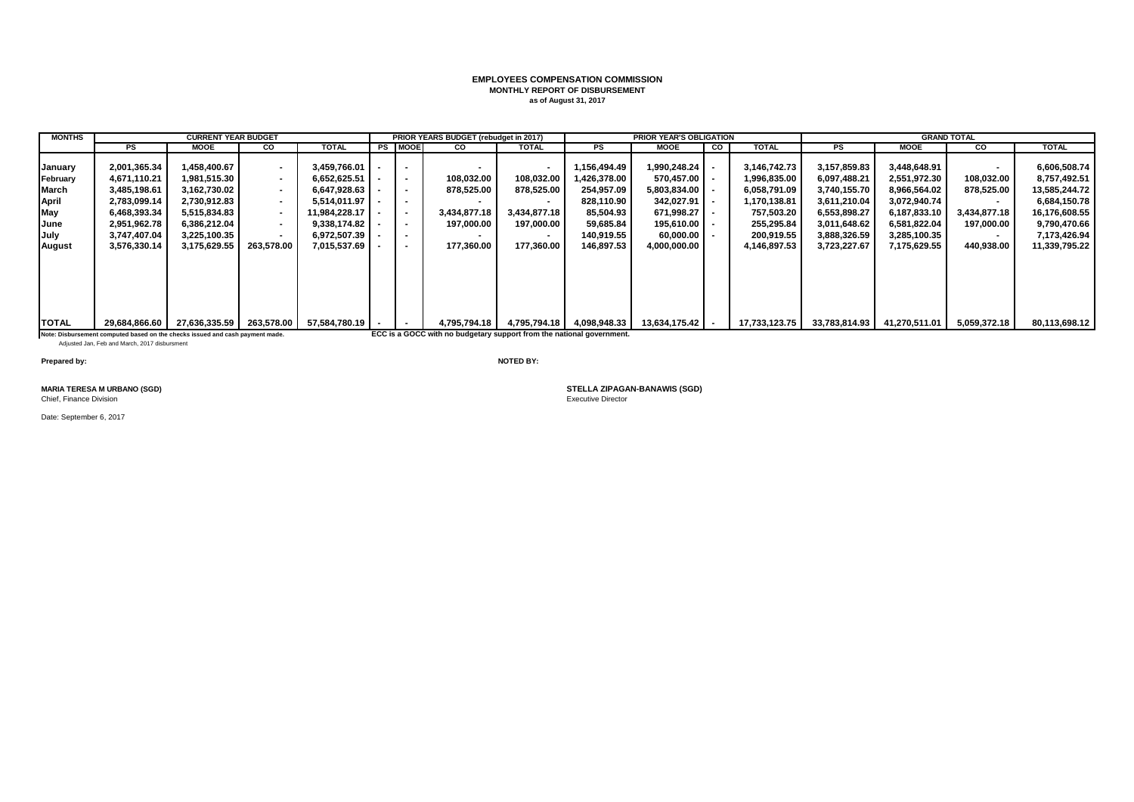## **EMPLOYEES COMPENSATION COMMISSION MONTHLY REPORT OF DISBURSEMENT as of August 31, 2017**

| <b>MONTHS</b>                                                |                                                                                                                                                                 | <b>CURRENT YEAR BUDGET</b>                                                                                   |                                                                                                                          |                                                                                                               |                                                                                            | PRIOR YEARS BUDGET (rebudget in 2017)                                                               |                                                                                                                        |                                                                                                  | <b>PRIOR YEAR'S OBLIGATION</b>                                                                    |    |                                                                                                        |                                                                                                              |                                                                                                              | <b>GRAND TOTAL</b>                                                       |                                                                                                                |
|--------------------------------------------------------------|-----------------------------------------------------------------------------------------------------------------------------------------------------------------|--------------------------------------------------------------------------------------------------------------|--------------------------------------------------------------------------------------------------------------------------|---------------------------------------------------------------------------------------------------------------|--------------------------------------------------------------------------------------------|-----------------------------------------------------------------------------------------------------|------------------------------------------------------------------------------------------------------------------------|--------------------------------------------------------------------------------------------------|---------------------------------------------------------------------------------------------------|----|--------------------------------------------------------------------------------------------------------|--------------------------------------------------------------------------------------------------------------|--------------------------------------------------------------------------------------------------------------|--------------------------------------------------------------------------|----------------------------------------------------------------------------------------------------------------|
|                                                              | PS                                                                                                                                                              | <b>MOOE</b>                                                                                                  | CO                                                                                                                       | <b>TOTAL</b>                                                                                                  | <b>PS MOOE</b>                                                                             | <b>CO</b>                                                                                           | <b>TOTAL</b>                                                                                                           | <b>PS</b>                                                                                        | <b>MOOE</b>                                                                                       | CO | <b>TOTAL</b>                                                                                           | <b>PS</b>                                                                                                    | <b>MOOE</b>                                                                                                  | CO.                                                                      | <b>TOTAL</b>                                                                                                   |
| January<br>February<br>March<br>April<br>May<br>June<br>July | 2,001,365.34<br>4,671,110.21<br>3,485,198.61<br>2,783,099.14<br>6,468,393.34<br>2,951,962.78<br>3.747.407.04                                                    | 1,458,400.67<br>1,981,515.30<br>3.162.730.02<br>2,730,912.83<br>5.515.834.83<br>6.386.212.04<br>3.225.100.35 | $\overline{\phantom{0}}$<br>$\sim$<br>$\sim$<br>$\sim$<br>$\sim$<br>$\overline{\phantom{a}}$<br>$\overline{\phantom{a}}$ | 3,459,766.01<br>6,652,625.51<br>6.647.928.63<br>5.514.011.97<br>11,984,228.17<br>9.338.174.82<br>6,972,507.39 | $\blacksquare$<br>$\blacksquare$<br>$\sim$<br>$\sim$<br>$\blacksquare$<br>$\sim$<br>$\sim$ | $\sim$<br>108,032.00<br>878,525.00<br>3.434.877.18<br>197,000.00                                    | $\blacksquare$<br>108,032.00<br>878,525.00<br>$\overline{\phantom{a}}$<br>3.434.877.18<br>197,000.00<br>$\blacksquare$ | 1,156,494.49<br>426,378.00 ا<br>254,957.09<br>828,110.90<br>85,504.93<br>59,685.84<br>140.919.55 | 1,990,248.24<br>570,457.00<br>5,803,834.00<br>342,027.91<br>671.998.27<br>195,610.00<br>60.000.00 |    | 3,146,742.73<br>1,996,835.00<br>6,058,791.09<br>1,170,138.81<br>757,503.20<br>255,295.84<br>200.919.55 | 3,157,859.83<br>6,097,488.21<br>3,740,155.70<br>3,611,210.04<br>6,553,898.27<br>3,011,648.62<br>3,888,326.59 | 3,448,648.91<br>2,551,972.30<br>8.966.564.02<br>3,072,940.74<br>6,187,833.10<br>6.581.822.04<br>3.285.100.35 | $\blacksquare$<br>108,032.00<br>878,525.00<br>3.434.877.18<br>197.000.00 | 6,606,508.74<br>8,757,492.51<br>13,585,244.72<br>6,684,150.78<br>16,176,608.55<br>9,790,470.66<br>7,173,426.94 |
| August<br><b>TOTAL</b>                                       | 3,576,330.14<br>29.684.866.60<br>Note: Disbursement computed based on the checks issued and cash payment made.<br>Adjusted Jan, Feb and March, 2017 disbursment | 3,175,629.55<br>27,636,335.59                                                                                | 263.578.00<br>263.578.00                                                                                                 | 7.015.537.69<br>57.584.780.19                                                                                 | $\sim$<br>$\sim$                                                                           | 177.360.00<br>4,795,794.18<br>ECC is a GOCC with no budgetary support from the national government. | 177.360.00                                                                                                             | 146.897.53<br>4,795,794.18 4,098,948.33                                                          | 4.000.000.00<br>13,634,175.42                                                                     |    | 4,146,897.53<br>17,733,123.75                                                                          | 3,723,227.67<br>33,783,814.93                                                                                | 7.175.629.55<br>41,270,511.01                                                                                | 440.938.00<br>5,059,372.18                                               | 11,339,795.22<br>80,113,698.12                                                                                 |

**Prepared by: NOTED BY:**

Chief, Finance Division

Date: September 6, 2017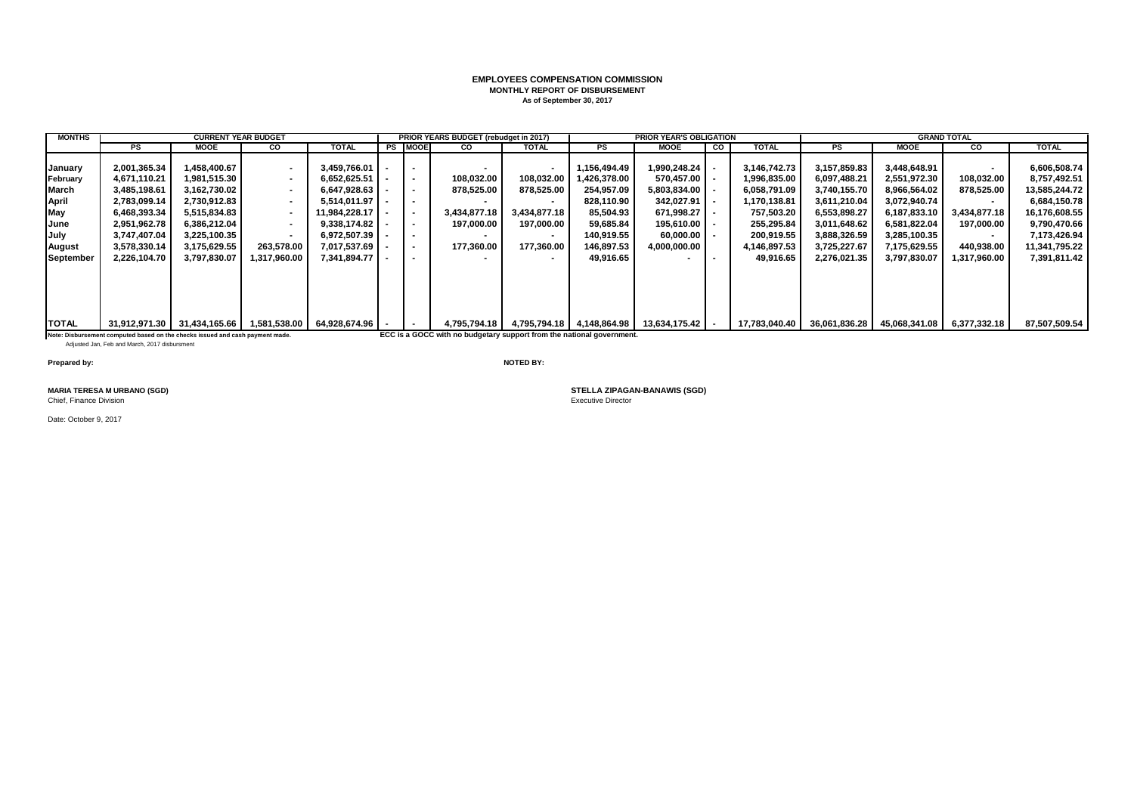## **EMPLOYEES COMPENSATION COMMISSION MONTHLY REPORT OF DISBURSEMENT As of September 30, 2017**

| <b>MONTHS</b> |                                                                               | <b>CURRENT YEAR BUDGET</b>                                       |                          |                     |                          | <b>PRIOR YEARS BUDGET (rebudget in 2017)</b>                          |                          |                           | <b>PRIOR YEAR'S OBLIGATION</b> |   |               |              |                                              | <b>GRAND TOTAL</b>       |               |
|---------------|-------------------------------------------------------------------------------|------------------------------------------------------------------|--------------------------|---------------------|--------------------------|-----------------------------------------------------------------------|--------------------------|---------------------------|--------------------------------|---|---------------|--------------|----------------------------------------------|--------------------------|---------------|
|               | PS                                                                            | <b>MOOE</b>                                                      | CO                       | <b>TOTAL</b>        | <b>PS IMOOE</b>          | <b>CO</b>                                                             | <b>TOTAL</b>             | PS                        | <b>MOOE</b>                    | g | <b>TOTAL</b>  | PS           | <b>MOOE</b>                                  | <b>CO</b>                | <b>TOTAL</b>  |
|               |                                                                               |                                                                  |                          |                     |                          |                                                                       |                          |                           |                                |   |               |              |                                              |                          |               |
| January       | 2,001,365.34                                                                  | 1,458,400.67                                                     |                          | $3,459,766.01$ -    |                          |                                                                       | $\,$                     | 156,494.49.               | ا 990,248.24. ا                |   | 3,146,742.73  | 3,157,859.83 | 3,448,648.91                                 |                          | 6,606,508.74  |
| February      | 4,671,110.21                                                                  | 1.981.515.30                                                     | $\overline{\phantom{a}}$ | $6.652.625.51$ -    |                          | 108,032.00                                                            | 108,032.00               | 426,378.00                | 570.457.00                     |   | 1,996,835.00  | 6,097,488.21 | 2.551.972.30                                 | 108,032.00               | 8,757,492.51  |
| March         | 3,485,198.61                                                                  | 3,162,730.02                                                     |                          | $6,647,928.63$ -    |                          | 878,525.00                                                            | 878,525.00               | 254,957.09                | 5,803,834.00                   |   | 6,058,791.09  | 3,740,155.70 | 8,966,564.02                                 | 878,525.00               | 13,585,244.72 |
| April         | 2,783,099.14                                                                  | 2.730.912.83                                                     |                          | $5.514.011.97$   -  |                          |                                                                       |                          | 828.110.90                | 342.027.91                     |   | 1,170,138.81  | 3,611,210.04 | 3,072,940.74                                 |                          | 6,684,150.78  |
| May           | 6,468,393.34                                                                  | 5,515,834.83                                                     |                          | $11.984.228.17$   - |                          | 3,434,877.18                                                          | 3,434,877.18             | 85,504.93                 | 671.998.27                     |   | 757,503.20    | 6,553,898.27 | 6,187,833.10                                 | 3,434,877.18             | 16,176,608.55 |
| June          | 2,951,962.78                                                                  | 6,386,212.04                                                     | $\overline{\phantom{a}}$ | $9,338,174.82$ -    | $\blacksquare$           | 197,000.00                                                            | 197,000.00               | 59,685.84                 | 195.610.00                     |   | 255,295.84    | 3,011,648.62 | 6,581,822.04                                 | 197,000.00               | 9,790,470.66  |
| July          | 3,747,407.04                                                                  | 3,225,100.35                                                     |                          | $6,972,507.39$ -    |                          |                                                                       | $\blacksquare$           | 140,919.55                | 60.000.00 L                    |   | 200,919.55    | 3,888,326.59 | 3,285,100.35                                 | $\overline{\phantom{a}}$ | 7,173,426.94  |
| August        | 3,578,330.14                                                                  | 3,175,629.55                                                     | 263,578.00               | 7,017,537.69        | $\overline{\phantom{a}}$ | 177.360.00                                                            | 177,360.00               | 146,897.53                | 4,000,000.00                   |   | 4,146,897.53  | 3,725,227.67 | 7,175,629.55                                 | 440,938.00               | 11,341,795.22 |
| September     | 2,226,104.70                                                                  | 3,797,830.07                                                     | 1,317,960.00             | 7,341,894.77        |                          |                                                                       | $\overline{\phantom{a}}$ | 49.916.65                 |                                |   | 49,916.65     | 2,276,021.35 | 3,797,830.07                                 | 1,317,960.00             | 7,391,811.42  |
|               |                                                                               |                                                                  |                          |                     |                          |                                                                       |                          |                           |                                |   |               |              |                                              |                          |               |
|               |                                                                               |                                                                  |                          |                     |                          |                                                                       |                          |                           |                                |   |               |              |                                              |                          |               |
|               |                                                                               |                                                                  |                          |                     |                          |                                                                       |                          |                           |                                |   |               |              |                                              |                          |               |
|               |                                                                               |                                                                  |                          |                     |                          |                                                                       |                          |                           |                                |   |               |              |                                              |                          |               |
|               |                                                                               |                                                                  |                          |                     |                          |                                                                       |                          |                           |                                |   |               |              |                                              |                          |               |
| <b>TOTAL</b>  |                                                                               | 31,912,971.30   31,434,165.66   1,581,538.00   64,928,674.96   - |                          |                     | $\blacksquare$           | 4.795.794.18                                                          |                          | 4,795,794.18 4,148,864.98 | 13,634,175.42   -              |   | 17,783,040.40 |              | 36,061,836.28   45,068,341.08   6,377,332.18 |                          | 87,507,509.54 |
|               | Note: Disbursement computed based on the checks issued and cash payment made. |                                                                  |                          |                     |                          | ECC is a GOCC with no budgetary support from the national government. |                          |                           |                                |   |               |              |                                              |                          |               |
|               | Adjusted Jan, Feb and March, 2017 disbursment                                 |                                                                  |                          |                     |                          |                                                                       |                          |                           |                                |   |               |              |                                              |                          |               |

**Prepared by: NOTED BY:**

Chief, Finance Division

Date: October 9, 2017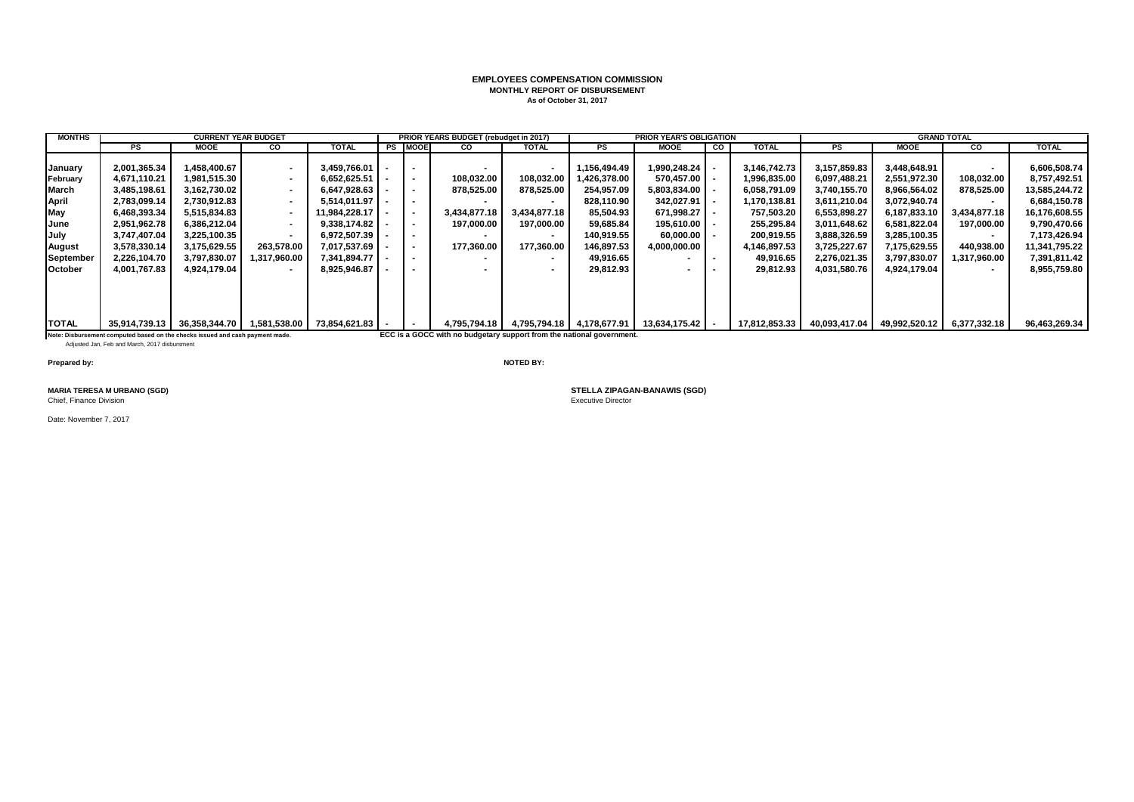## **EMPLOYEES COMPENSATION COMMISSION MONTHLY REPORT OF DISBURSEMENT As of October 31, 2017**

| <b>MONTHS</b> |                                                                               | <b>CURRENT YEAR BUDGET</b>   |                          |                               |                | PRIOR YEARS BUDGET (rebudget in 2017)                                 |                                        |              | <b>PRIOR YEAR'S OBLIGATION</b> |    |               |               |               | <b>GRAND TOTAL</b>       |               |
|---------------|-------------------------------------------------------------------------------|------------------------------|--------------------------|-------------------------------|----------------|-----------------------------------------------------------------------|----------------------------------------|--------------|--------------------------------|----|---------------|---------------|---------------|--------------------------|---------------|
|               | PS                                                                            | MOOE                         | <b>CO</b>                | TOTAL                         | <b>PS MOOE</b> | <b>CO</b>                                                             | <b>TOTAL</b>                           | PS           | <b>MOOE</b>                    | co | <b>TOTAL</b>  | PS            | <b>MOOE</b>   | CO.                      | <b>TOTAL</b>  |
|               |                                                                               |                              |                          |                               |                |                                                                       |                                        |              |                                |    |               |               |               |                          |               |
| January       | 2,001,365.34                                                                  | 1,458,400.67                 |                          | 3,459,766.01                  |                |                                                                       | $\blacksquare$                         | 1,156,494.49 | 1,990,248.24                   |    | 3,146,742.73  | 3,157,859.83  | 3,448,648.91  |                          | 6,606,508.74  |
| February      | 4,671,110.21                                                                  | 1,981,515.30                 | $\sim$                   | $6,652,625.51$ -              | $\blacksquare$ | 108,032.00                                                            | 108,032.00                             | 426,378.00   | 570,457.00                     |    | 1,996,835.00  | 6,097,488.21  | 2,551,972.30  | 108,032.00               | 8,757,492.51  |
| <b>March</b>  | 3,485,198.61                                                                  | 3,162,730.02                 | $\overline{\phantom{a}}$ | $6,647,928.63$ -              | $\blacksquare$ | 878,525.00                                                            | 878,525.00                             | 254,957.09   | $5,803,834.00$ -               |    | 6,058,791.09  | 3,740,155.70  | 8,966,564.02  | 878,525.00               | 13,585,244.72 |
| April         | 2,783,099.14                                                                  | 2,730,912.83                 | $\sim$                   | $5,514,011.97$ $\blacksquare$ |                |                                                                       |                                        | 828,110.90   | 342,027.91                     |    | 1,170,138.81  | 3,611,210.04  | 3,072,940.74  |                          | 6,684,150.78  |
| May           | 6,468,393.34                                                                  | 5,515,834.83                 |                          | 11,984,228.17   -             | $\blacksquare$ | 3,434,877.18                                                          | 3,434,877.18                           | 85,504.93    | 671,998.27                     |    | 757,503.20    | 6,553,898.27  | 6,187,833.10  | 3,434,877.18             | 16,176,608.55 |
| June          | 2,951,962.78                                                                  | 6,386,212.04                 | . .                      | 9,338,174.82                  | $\sim$         | 197,000.00                                                            | 197,000.00                             | 59,685.84    | $195.610.00$ $\blacksquare$    |    | 255,295.84    | 3,011,648.62  | 6,581,822.04  | 197,000.00               | 9,790,470.66  |
| July          | 3,747,407.04                                                                  | 3,225,100.35                 |                          | 6,972,507.39                  |                |                                                                       |                                        | 140.919.55   | $60.000.00$ $\blacksquare$ -   |    | 200,919.55    | 3,888,326.59  | 3,285,100.35  | $\overline{\phantom{a}}$ | 7,173,426.94  |
| August        | 3,578,330.14                                                                  | 3,175,629.55                 | 263,578.00               | 7,017,537.69                  | $\blacksquare$ | 177,360.00                                                            | 177,360.00                             | 146,897.53   | 4,000,000.00                   |    | 4,146,897.53  | 3,725,227.67  | 7,175,629.55  | 440,938.00               | 11,341,795.22 |
| September     | 2,226,104.70                                                                  | 3,797,830.07                 | 1,317,960.00             | 7,341,894.77                  | $\blacksquare$ |                                                                       | $\blacksquare$                         | 49,916.65    | $\sim$                         |    | 49,916.65     | 2,276,021.35  | 3,797,830.07  | 1,317,960.00             | 7,391,811.42  |
| October       | 4,001,767.83                                                                  | 4.924.179.04                 |                          | 8,925,946.87                  |                |                                                                       | $\blacksquare$                         | 29.812.93    |                                |    | 29,812.93     | 4,031,580.76  | 4,924,179.04  | $\sim$                   | 8,955,759.80  |
|               |                                                                               |                              |                          |                               |                |                                                                       |                                        |              |                                |    |               |               |               |                          |               |
|               |                                                                               |                              |                          |                               |                |                                                                       |                                        |              |                                |    |               |               |               |                          |               |
|               |                                                                               |                              |                          |                               |                |                                                                       |                                        |              |                                |    |               |               |               |                          |               |
|               |                                                                               |                              |                          |                               |                |                                                                       |                                        |              |                                |    |               |               |               |                          |               |
| <b>TOTAL</b>  | 35,914,739.13                                                                 | 36,358,344.70   1,581,538.00 |                          | 73,854,621.83                 | $\sim$         |                                                                       | 4,795,794.18 4,795,794.18 4,178,677.91 |              | 13,634,175.42   -              |    | 17,812,853.33 | 40,093,417.04 | 49,992,520.12 | 6,377,332.18             | 96,463,269.34 |
|               | Note: Disbursement computed based on the checks issued and cash payment made. |                              |                          |                               |                | ECC is a GOCC with no budgetary support from the national government. |                                        |              |                                |    |               |               |               |                          |               |

Note: Disbursement computed based on the checks issued and cash payment made.<br>Adjusted Jan, Feb and March, 2017 disbursment

**Prepared by: NOTED BY:**

Chief, Finance Division

Date: November 7, 2017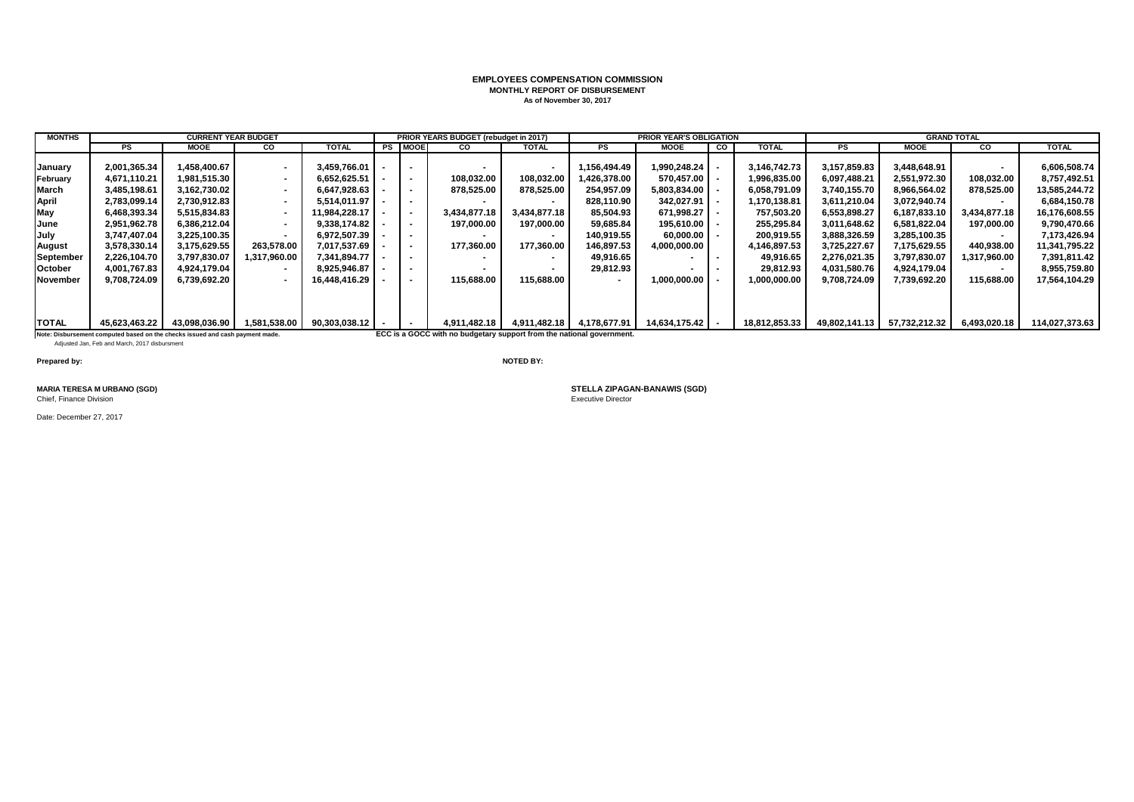## **EMPLOYEES COMPENSATION COMMISSION MONTHLY REPORT OF DISBURSEMENT As of November 30, 2017**

| <b>MONTHS</b> |                                                                                                                                | <b>CURRENT YEAR BUDGET</b> |                          |               |                          | PRIOR YEARS BUDGET (rebudget in 2017)                                 |                          |                           | <b>PRIOR YEAR'S OBLIGATION</b> |           |               |               | <b>GRAND TOTAL</b> |                          |                |
|---------------|--------------------------------------------------------------------------------------------------------------------------------|----------------------------|--------------------------|---------------|--------------------------|-----------------------------------------------------------------------|--------------------------|---------------------------|--------------------------------|-----------|---------------|---------------|--------------------|--------------------------|----------------|
|               | PS                                                                                                                             | <b>MOOE</b>                | CO                       | <b>TOTAL</b>  | <b>PS MOOE</b>           | CO.                                                                   | <b>TOTAL</b>             | <b>PS</b>                 | <b>MOOE</b>                    | <b>CO</b> | <b>TOTAL</b>  | PS            | <b>MOOE</b>        | <b>CO</b>                | <b>TOTAL</b>   |
|               |                                                                                                                                |                            |                          |               |                          |                                                                       |                          |                           |                                |           |               |               |                    |                          |                |
| January       | 2,001,365.34                                                                                                                   | 1,458,400.67               | $\sim$                   | 3.459.766.01  | $\blacksquare$           |                                                                       | $\overline{\phantom{a}}$ | .156,494.49               | .990,248.24                    |           | 3,146,742.73  | 3,157,859.83  | 3,448,648.91       | $\overline{\phantom{a}}$ | 6,606,508.74   |
| February      | 4,671,110.21                                                                                                                   | 1.981.515.30               | $\sim$                   | 6,652,625.51  | $\sim$                   | 108.032.00                                                            | 108,032.00               | .426.378.00               | 570.457.00                     |           | 1,996,835.00  | 6,097,488.21  | 2.551.972.30       | 108.032.00               | 8,757,492.51   |
| March         | 3,485,198.61                                                                                                                   | 3,162,730.02               | $\sim$                   | 6,647,928.63  | $\sim$                   | 878,525.00                                                            | 878,525.00               | 254,957.09                | 5,803,834.00                   |           | 6.058.791.09  | 3,740,155.70  | 8,966,564.02       | 878,525.00               | 13,585,244.72  |
| April         | 2,783,099.14                                                                                                                   | 2,730,912.83               | $\blacksquare$           | 5.514.011.97  | $\sim$                   |                                                                       | $\overline{\phantom{a}}$ | 828.110.90                | 342,027.91                     |           | 1,170,138.81  | 3,611,210.04  | 3,072,940.74       | $\overline{\phantom{a}}$ | 6,684,150.78   |
| May           | 6,468,393.34                                                                                                                   | 5.515.834.83               | $\blacksquare$           | 11.984.228.17 | $\sim$                   | 3.434.877.18                                                          | 3,434,877.18             | 85.504.93                 | 671.998.27                     |           | 757.503.20    | 6,553,898.27  | 6.187.833.10       | 3.434.877.18             | 16,176,608.55  |
| June          | 2,951,962.78                                                                                                                   | 6,386,212.04               | $\overline{\phantom{a}}$ | 9.338.174.82  | $\overline{\phantom{a}}$ | 197,000.00                                                            | 197,000.00               | 59,685.84                 | 195.610.00                     |           | 255,295.84    | 3,011,648.62  | 6,581,822.04       | 197,000.00               | 9,790,470.66   |
| July          | 3,747,407.04                                                                                                                   | 3,225,100.35               |                          | 6,972,507.39  | $\,$                     |                                                                       | $\overline{\phantom{a}}$ | 140,919.55                | 60,000.00                      |           | 200,919.55    | 3,888,326.59  | 3,285,100.35       | $\overline{\phantom{a}}$ | 7,173,426.94   |
| <b>August</b> | 3,578,330.14                                                                                                                   | 3,175,629.55               | 263,578.00               | 7,017,537.69  | $\sim$                   | 177,360.00                                                            | 177,360.00               | 146,897.53                | 000,000.00,                    |           | 4,146,897.53  | 3,725,227.67  | 7,175,629.55       | 440,938.00               | 11,341,795.22  |
| September     | 2,226,104.70                                                                                                                   | 3,797,830.07               | 1,317,960.00             | 7,341,894.77  | $\sim$                   |                                                                       | $\sim$                   | 49,916.65                 |                                |           | 49,916.65     | 2,276,021.35  | 3,797,830.07       | 1,317,960.00             | 7,391,811.42   |
| October       | 4,001,767.83                                                                                                                   | 4,924,179.04               | $\overline{\phantom{a}}$ | 8.925.946.87  |                          |                                                                       |                          | 29.812.93                 |                                |           | 29.812.93     | 4,031,580.76  | 4,924,179.04       |                          | 8,955,759.80   |
| November      | 9,708,724.09                                                                                                                   | 6,739,692.20               | $\overline{\phantom{a}}$ | 16.448.416.29 | $\blacksquare$           | 115,688.00                                                            | 115.688.00               |                           | ,000,000.00                    |           | 00.000.000.1  | 9,708,724.09  | 7,739,692.20       | 115,688.00               | 17,564,104.29  |
|               |                                                                                                                                |                            |                          |               |                          |                                                                       |                          |                           |                                |           |               |               |                    |                          |                |
|               |                                                                                                                                |                            |                          |               |                          |                                                                       |                          |                           |                                |           |               |               |                    |                          |                |
| <b>TOTAL</b>  | 45,623,463.22                                                                                                                  | 43,098,036.90              | 1,581,538.00             | 90,303,038.12 | $\blacksquare$           | 4.911.482.18                                                          |                          | 4,911,482.18 4,178,677.91 | 14,634,175.42                  |           | 18,812,853.33 | 49,802,141.13 | 57,732,212.32      | 6,493,020.18             | 114,027,373.63 |
|               |                                                                                                                                |                            |                          |               |                          | ECC is a GOCC with no budgetary support from the national government. |                          |                           |                                |           |               |               |                    |                          |                |
|               | Note: Disbursement computed based on the checks issued and cash payment made.<br>Adiusted Jan. Feb and March, 2017 disbursment |                            |                          |               |                          |                                                                       |                          |                           |                                |           |               |               |                    |                          |                |

**Prepared by: NOTED BY:**

Chief, Finance Division

Date: December 27, 2017